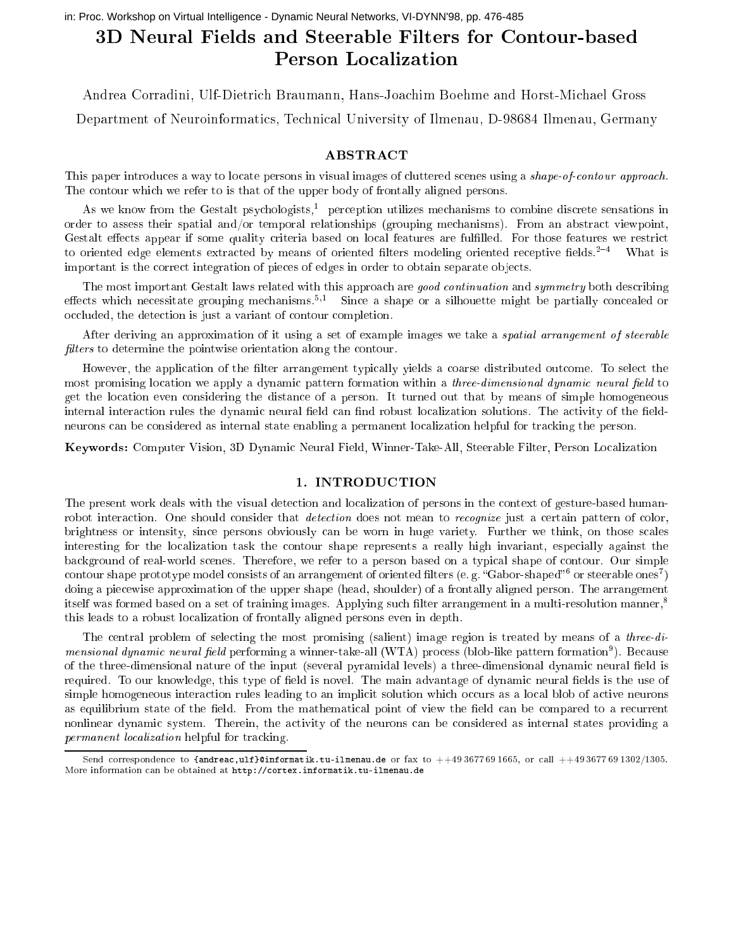in: Proc. Workshop on Virtual Intelligence - Dynamic Neural Networks, VI-DYNN'98, pp. 476-485

# 3D Neural Fields and Steerable Filters for Contour-based

Andrea Corradini, Ulf-Dietrich Braumann, Hans-Joachim Boehme and Horst-Michael Gross Department of Neuroinformatics, Technical University of Ilmenau, D-98684 Ilmenau, Germany

# ABSTRACT

This paper introduces a way to locate persons in visual images of cluttered scenes using a shape-of-contour approach. The contour which we refer to is that of the upper body of frontally aligned persons.

As we know from the Gestalt psychologists, a perception utilizes mechanisms to combine discrete sensations in order to assess their spatial and/or temporal relationships (grouping mechanisms). From an abstract viewpoint, Gestalt effects appear if some quality criteria based on local features are fulfilled. For those features we restrict to oriented edge elements extracted by means of oriented filters modeling oriented receptive fields.<sup>2-4</sup> What is important is the correct integration of pieces of edges in order to obtain separate objects.

The most important Gestalt laws related with this approach are good continuation and symmetry both describing effects which necessitate grouping mechanisms.<sup>5,1</sup> Since a shape or a silhouette might be partially concealed or occluded, the detection is just a variant of contour completion.

After deriving an approximation of it using a set of example images we take a *spatial arrangement of steerable* filters to determine the pointwise orientation along the contour.

However, the application of the filter arrangement typically yields a coarse distributed outcome. To select the most promising location we apply a dynamic pattern formation within a *three-dimensional dynamic neural field* to get the location even considering the distance of a person. It turned out that by means of simple homogeneous internal interaction rules the dynamic neural field can find robust localization solutions. The activity of the fieldneurons can be considered as internal state enabling a permanent localization helpful for tracking the person.

Keywords: Computer Vision, 3D Dynamic Neural Field, Winner-Take-All, Steerable Filter, Person Localization

# 1. INTRODUCTION

The present work deals with the visual detection and localization of persons in the context of gesture-based humanrobot interaction. One should consider that *detection* does not mean to *recognize* just a certain pattern of color, brightness or intensity, since persons obviously can be worn in huge variety. Further we think, on those scales interesting for the localization task the contour shape represents a really high invariant, especially against the background of real-world scenes. Therefore, we refer to a person based on a typical shape of contour. Our simple contour shape prototype model consists of an arrangement of oriented inters (e. g. Gabor-shaped – or steerable ones–) doing a piecewise approximation of the upper shape (head, shoulder) of a frontally aligned person. The arrangement itself was formed based on a set of training images. Applying such filter arrangement in a multi-resolution manner,<sup>8</sup> this leads to a robust localization of frontally aligned persons even in depth.

The central problem of selecting the most promising (salient) image region is treated by means of a three-di $m$ ensional aynamic neural pela performing a winner-take-all (WTA) process (blob-like pattern formation ). Because of the three-dimensional nature of the input (several pyramidal levels) a three-dimensional dynamic neural field is required. To our knowledge, this type of field is novel. The main advantage of dynamic neural fields is the use of simple homogeneous interaction rules leading to an implicit solution which occurs as a local blob of active neurons as equilibrium state of the field. From the mathematical point of view the field can be compared to a recurrent nonlinear dynamic system. Therein, the activity of the neurons can be considered as internal states providing a permanent localization helpful for tracking.

Send correspondence to  $\{$ andreac,ulf $\}$ @informatik.tu-ilmenau.de or fax to  $++493677691665$ , or call  $++493677691302/1305$ . More information can be obtained at http://cortex.informatik.tu-ilmenau.de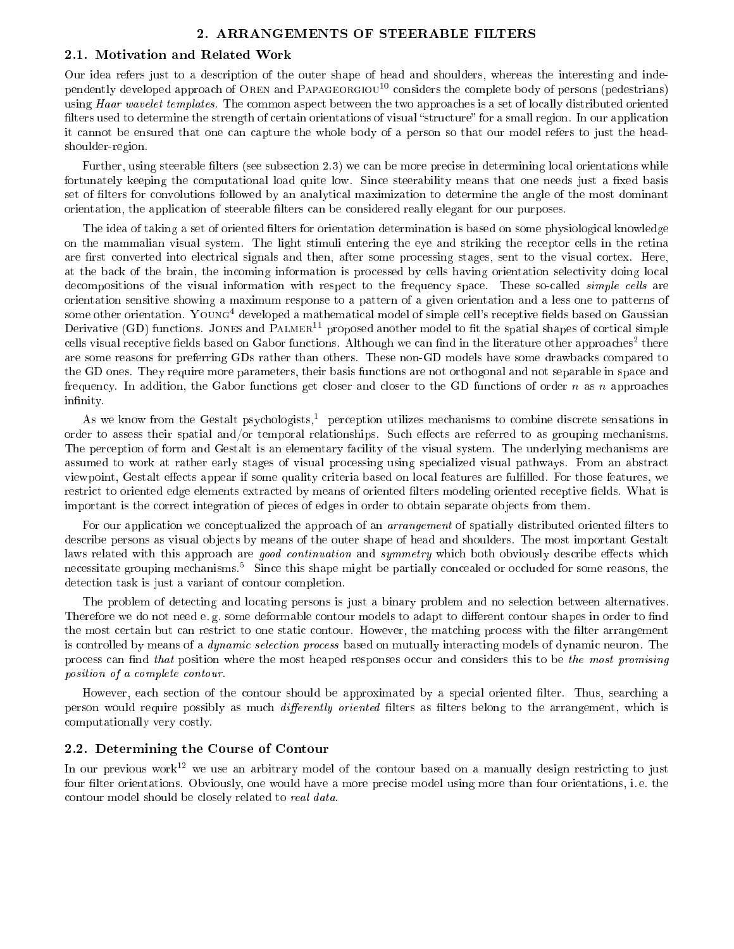# 2. ARRANGEMENTS OF STEERABLE FILTERS

#### 2.1. Motivation and Related Work

Our idea refers just to a description of the outer shape of head and shoulders, whereas the interesting and independently developed approach of OREN and PAPAGEORGIOU<sup>10</sup> considers the complete body of persons (pedestrians) using Haar wavelet templates. The common aspect between the two approaches is a set of locally distributed oriented filters used to determine the strength of certain orientations of visual "structure" for a small region. In our application it cannot be ensured that one can capture the whole body of a person so that our model refers to just the headshoulder-region.

Further, using steerable filters (see subsection 2.3) we can be more precise in determining local orientations while fortunately keeping the computational load quite low. Since steerability means that one needs just a fixed basis set of lters for convolutions followed by an analytical maximization to determine the angle of the most dominant orientation, the application of steerable filters can be considered really elegant for our purposes.

The idea of taking a set of oriented filters for orientation determination is based on some physiological knowledge on the mammalian visual system. The light stimuli entering the eye and striking the receptor cells in the retina are first converted into electrical signals and then, after some processing stages, sent to the visual cortex. Here, at the back of the brain, the incoming information is processed by cells having orientation selectivity doing local decompositions of the visual information with respect to the frequency space. These so-called *simple cells* are orientation sensitive showing a maximum response to a pattern of a given orientation and a less one to patterns of some other orientation. YOUNG<sup>4</sup> developed a mathematical model of simple cell's receptive fields based on Gaussian Derivative (GD) functions. JONES and  $\text{PALMER}^{11}$  proposed another model to fit the spatial shapes of cortical simple cells visual receptive helds based on Gabor functions. Although we can nhu in the literature other approaches- there are some reasons for preferring GDs rather than others. These non-GD models have some drawbacks compared to the GD ones. They require more parameters, their basis functions are not orthogonal and not separable in space and frequency. In addition, the Gabor functions get closer and closer to the GD functions of order n as n approaches infinity.

As we know from the Gestalt psychologists, – perception utilizes mechanisms to combine discrete sensations in order to assess their spatial and/or temporal relationships. Such effects are referred to as grouping mechanisms. The perception of form and Gestalt is an elementary facility of the visual system. The underlying mechanisms are assumed to work at rather early stages of visual processing using specialized visual pathways. From an abstract viewpoint, Gestalt effects appear if some quality criteria based on local features are fulfilled. For those features, we restrict to oriented edge elements extracted by means of oriented filters modeling oriented receptive fields. What is important is the correct integration of pieces of edges in order to obtain separate ob jects from them.

For our application we conceptualized the approach of an *arrangement* of spatially distributed oriented filters to describe persons as visual objects by means of the outer shape of head and shoulders. The most important Gestalt laws related with this approach are good continuation and symmetry which both obviously describe effects which necessitate grouping mechanisms. This shape might be partially concealed or occluded for some reasons, the detection task is just a variant of contour completion.

The problem of detecting and locating persons is just a binary problem and no selection between alternatives. Therefore we do not need e.g. some deformable contour models to adapt to different contour shapes in order to find the most certain but can restrict to one static contour. However, the matching process with the filter arrangement is controlled by means of a dynamic selection process based on mutually interacting models of dynamic neuron. The process can find that position where the most heaped responses occur and considers this to be the most promising position of a complete contour.

However, each section of the contour should be approximated by a special oriented filter. Thus, searching a person would require possibly as much *differently oriented* filters as filters belong to the arrangement, which is computationally very costly.

#### 2.2. Determining the Course of Contour

In our previous work<sup>12</sup> we use an arbitrary model of the contour based on a manually design restricting to just four filter orientations. Obviously, one would have a more precise model using more than four orientations, i.e. the contour model should be closely related to real data.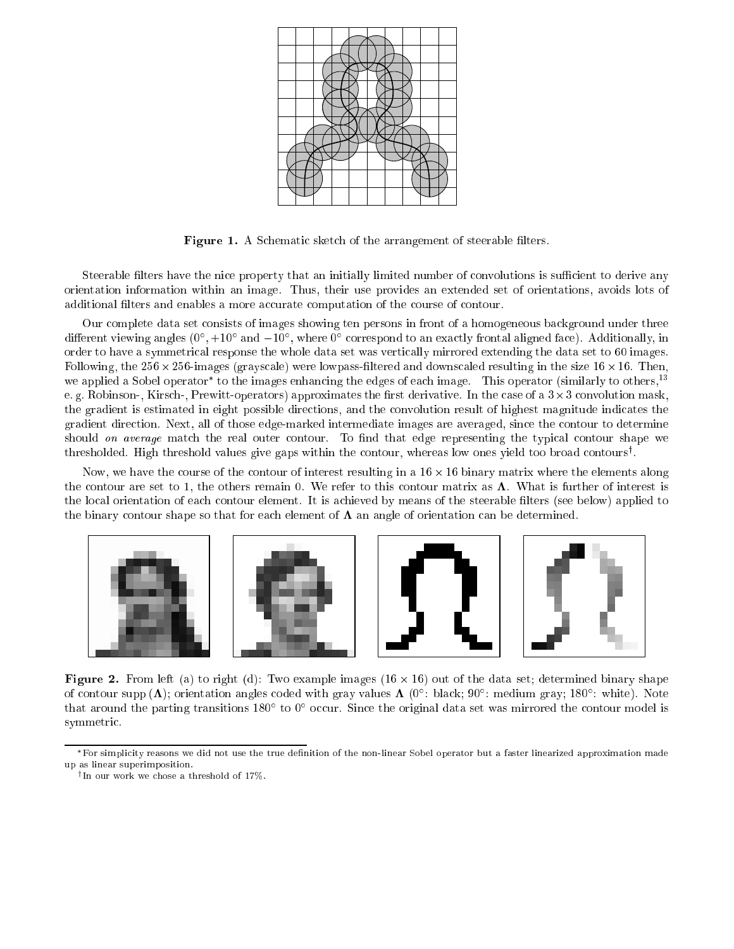

Figure 1. A Schematic sketch of the arrangement of steerable lters.

Steerable filters have the nice property that an initially limited number of convolutions is sufficient to derive any orientation information within an image. Thus, their use provides an extended set of orientations, avoids lots of additional filters and enables a more accurate computation of the course of contour.

Our complete data set consists of images showing ten persons in front of a homogeneous background under three different viewing angles (0 , +10 and –10 , where 0 correspond to an exactly frontal anglied face). Additionally, in order to have a symmetrical response the whole data set was vertically mirrored extending the data set to 60 images. Following, the <sup>256</sup> - 256-images (grayscale) were lowpass-ltered and downscaled resulting in the size <sup>16</sup> - 16. Then, we applied a Sobel operator to the images enhancing the edges of each image. This operator (similarly to others, $\tau$ e. g. Robinson-, Kirsch-, Prewitt-operators) approximates the rst derivative. In the case of a 3-3 convolution mask, the gradient is estimated in eight possible directions, and the convolution result of highest magnitude indicates the gradient direction. Next, all of those edge-marked intermediate images are averaged, since the contour to determine should on average match the real outer contour. To find that edge representing the typical contour shape we thresholded. High threshold values give gaps within the contour, whereas low ones yield too broad contours<sup>y</sup> .

Now, we have the course of the contour of interest resulting in a <sup>16</sup> - <sup>16</sup> binary matrix where the elements along the contour are set to 1, the others remain 0. We refer to this contour matrix as  $\Lambda$ . What is further of interest is the local orientation of each contour element. It is achieved by means of the steerable lters (see below) applied to the binary contour shape so that for each element of  $\Lambda$  an angle of orientation can be determined.



Figure 2. From left (a) to right (d): Two example images (16 - 16) out of the data set; determined binary shape of contour supp (A); orientation angles coded with gray values A (0 : black; 90 : medium gray; 180 : white). Note that around the parting transitions fou to 0 occur. Since the original data set was infriored the contour model is symmetric.

For simplicity reasons we did not use the true denition of the non-linear Sobel operator but a faster linearized approximation made up as linear superimposition.

<sup>y</sup> In our work we chose a threshold of 17%.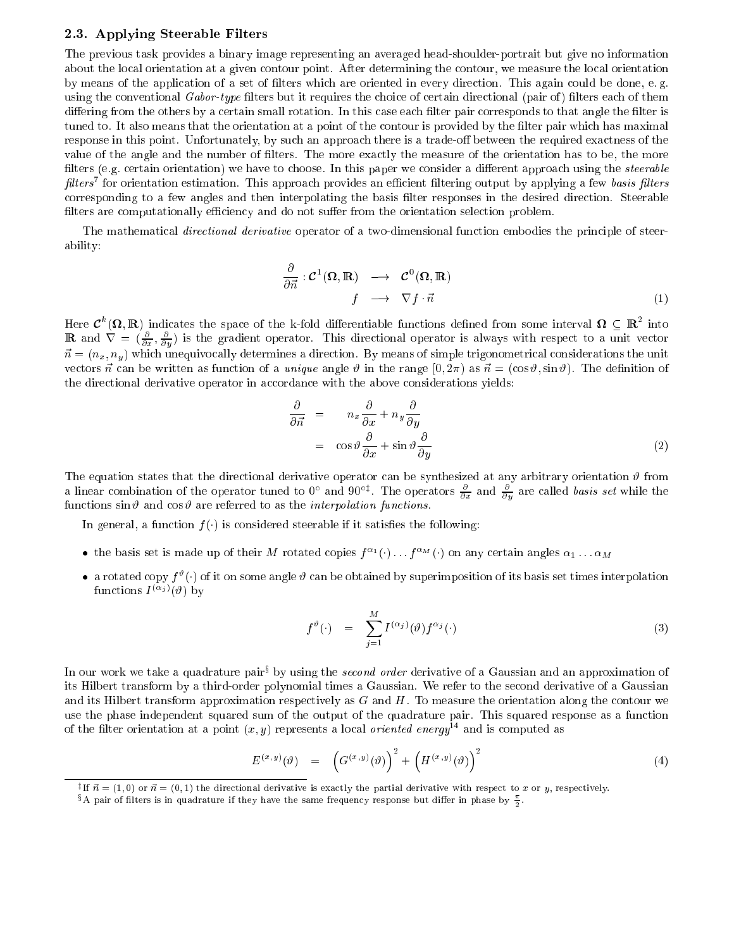## 2.3. Applying Steerable Filters

The previous task provides a binary image representing an averaged head-shoulder-portrait but give no information about the local orientation at a given contour point. After determining the contour, we measure the local orientation by means of the application of a set of lters which are oriented in every direction. This again could be done, e. g. using the conventional  $Gabor-type$  filters but it requires the choice of certain directional (pair of) filters each of them differing from the others by a certain small rotation. In this case each filter pair corresponds to that angle the filter is tuned to. It also means that the orientation at a point of the contour is provided by the filter pair which has maximal response in this point. Unfortunately, by such an approach there is a trade-off between the required exactness of the value of the angle and the number of filters. The more exactly the measure of the orientation has to be, the more filters (e.g. certain orientation) we have to choose. In this paper we consider a different approach using the *steerable fluers* for orientation estimation. This approach provides an emclent intering output by applying a few *basis fluers* corresponding to a few angles and then interpolating the basis filter responses in the desired direction. Steerable filters are computationally efficiency and do not suffer from the orientation selection problem.

The mathematical *directional derivative* operator of a two-dimensional function embodies the principle of steerability:

$$
\frac{\partial}{\partial \vec{n}} : \mathcal{C}^1(\Omega, \mathbb{R}) \longrightarrow \mathcal{C}^0(\Omega, \mathbb{R}) \nf \longrightarrow \nabla f \cdot \vec{n}
$$
\n(1)

Here  $\mathcal{C}^k(\Omega,\mathbb{R})$  indicates the space of the k-fold differentiable functions defined from some interval  $\Omega\subseteq\mathbb{R}^2$  into **R** and  $\nabla = (\frac{\partial}{\partial x}, \frac{\partial}{\partial y})$  is the gradient operator. This directional operator is always with respect to a unit vector  $\vec{n} = (n_x, n_y)$  which unequivocally determines a direction. By means of simple trigonometrical considerations the unit vectors  $\vec{n}$  can be written as function of a unique angle  $\vartheta$  in the range  $[0, 2\pi)$  as  $\vec{n} = (\cos \vartheta, \sin \vartheta)$ . The definition of the directional derivative operator in accordance with the above considerations yields:

$$
\frac{\partial}{\partial \vec{n}} = n_x \frac{\partial}{\partial x} + n_y \frac{\partial}{\partial y} \n= \cos \vartheta \frac{\partial}{\partial x} + \sin \vartheta \frac{\partial}{\partial y}
$$
\n(2)

The equation states that the directional derivative operator can be synthesized at any arbitrary orientation  $\vartheta$  from a linear combination of the operator tuned to  $0^{\circ}$  and  $90^{\circ}$ . The operators  $\frac{\partial}{\partial x}$  and  $\frac{\partial}{\partial y}$  are called basis set while the functions  $\sin \vartheta$  and  $\cos \vartheta$  are referred to as the *interpolation functions*.

In general, a function  $f(\cdot)$  is considered steerable if it satisfies the following:

- the basis set is made up of their M rotated copies  $f^{\alpha_1}(\cdot) \dots f^{\alpha_M}(\cdot)$  on any certain angles  $\alpha_1 \dots \alpha_M$
- a rotated copy  $f^{\vartheta}(\cdot)$  of it on some angle  $\vartheta$  can be obtained by superimposition of its basis set times interpolation functions  $I^{(\alpha_j)}(\vartheta)$  by

$$
f^{\vartheta}(\cdot) = \sum_{j=1}^{M} I^{(\alpha_j)}(\vartheta) f^{\alpha_j}(\cdot) \tag{3}
$$

In our work we take a quadrature pairy by using the *second order* derivative or a Gaussian and an approximation of its Hilbert transform by a third-order polynomial times a Gaussian. We refer to the second derivative of a Gaussian and its Hilbert transform approximation respectively as  $G$  and  $H$ . To measure the orientation along the contour we use the phase independent squared sum of the output of the quadrature pair. This squared response as a function of the filter orientation at a point  $(x, y)$  represents a local *oriented energy*<sup>14</sup> and is computed as

$$
E^{(x,y)}(\vartheta) = \left(G^{(x,y)}(\vartheta)\right)^2 + \left(H^{(x,y)}(\vartheta)\right)^2 \tag{4}
$$

–

 $\tau$  if  $n = (1,0)$  or  $n = (0,1)$  the directional derivative is exactly the partial derivative with respect to x or y, respectively.

 $\,$  A pair of filters is in quadrature if they have the same frequency response but differ in phase by  $\frac{1}{2}$ .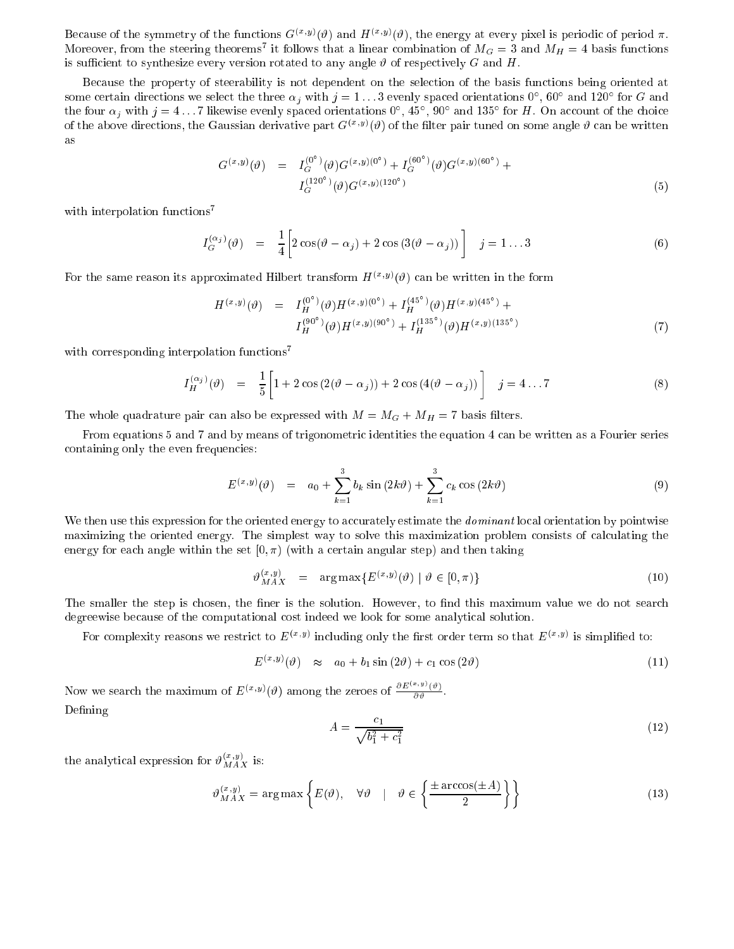Because of the symmetry of the functions  $G^{(x,y)}(\vartheta)$  and  $H^{(x,y)}(\vartheta)$ , the energy at every pixel is periodic of period  $\pi$ . Moreover, from the steering theorems' it follows that a linear combination of  $M_G = 3$  and  $M_H = 4$  basis functions is sufficient to synthesize every version rotated to any angle  $\vartheta$  of respectively G and H.

Because the property of steerability is not dependent on the selection of the basis functions being oriented at some certain directions we select the three  $\alpha_j$  with  $j=1\ldots 3$  evenly spaced orientations  $0^\circ,$   $60^\circ$  and  $120^\circ$  for  $G$  and the four  $\alpha_j$  with  $j = 4 \ldots 7$  likewise evenly spaced orientations  $0^\circ$ ,  $45^\circ$ ,  $90^\circ$  and  $135^\circ$  for H. On account of the choice of the above directions, the Gaussian derivative part  $G^{(x,y)}(\vartheta)$  of the filter pair tuned on some angle  $\vartheta$  can be written as

$$
G^{(x,y)}(\vartheta) = I_G^{(0^{\circ})}(\vartheta)G^{(x,y)(0^{\circ})} + I_G^{(60^{\circ})}(\vartheta)G^{(x,y)(60^{\circ})} + I_G^{(120^{\circ})}(\vartheta)G^{(x,y)(120^{\circ})}
$$
\n
$$
(5)
$$

with interpolation functions<sup>7</sup>

$$
I_G^{(\alpha_j)}(\vartheta) = \frac{1}{4} \bigg[ 2 \cos(\vartheta - \alpha_j) + 2 \cos(3(\vartheta - \alpha_j)) \bigg] \quad j = 1 \dots 3 \tag{6}
$$

For the same reason its approximated Hilbert transform  $H^{(x,y)}(\vartheta)$  can be written in the form

$$
H^{(x,y)}(\vartheta) = I_H^{(0^{\circ})}(\vartheta) H^{(x,y)(0^{\circ})} + I_H^{(45^{\circ})}(\vartheta) H^{(x,y)(45^{\circ})} +
$$
  
\n
$$
I_H^{(90^{\circ})}(\vartheta) H^{(x,y)(90^{\circ})} + I_H^{(135^{\circ})}(\vartheta) H^{(x,y)(135^{\circ})}
$$
\n
$$
(7)
$$

with corresponding interpolation functions<sup>7</sup>

$$
I_H^{(\alpha_j)}(\vartheta) = \frac{1}{5} \left[ 1 + 2 \cos \left( 2(\vartheta - \alpha_j) \right) + 2 \cos \left( 4(\vartheta - \alpha_j) \right) \right] \quad j = 4 \dots 7
$$
 (8)

The whole quadrature pair can also be expressed with  $M = M_G + M_H = 7$  basis filters.

From equations 5 and 7 and by means of trigonometric identities the equation 4 can be written as a Fourier series containing only the even frequencies:

$$
E^{(x,y)}(\vartheta) = a_0 + \sum_{k=1}^{3} b_k \sin (2k\vartheta) + \sum_{k=1}^{3} c_k \cos (2k\vartheta)
$$
 (9)

We then use this expression for the oriented energy to accurately estimate the *dominant* local orientation by pointwise maximizing the oriented energy. The simplest way to solve this maximization problem consists of calculating the energy for each angle within the set  $(0, \pi)$  (with a certain angular step) and then taking

$$
\vartheta_{MAX}^{(x,y)} = \arg \max \{ E^{(x,y)}(\vartheta) \mid \vartheta \in [0,\pi) \}
$$
\n(10)

The smaller the step is chosen, the finer is the solution. However, to find this maximum value we do not search degreewise because of the computational cost indeed we look for some analytical solution.

For complexity reasons we restrict to  $E^{(x,y)}$  including only the first order term so that  $E^{(x,y)}$  is simplified to:

$$
E^{(x,y)}(\vartheta) \approx a_0 + b_1 \sin(2\vartheta) + c_1 \cos(2\vartheta) \tag{11}
$$

Now we search the maximum of  $E^{(x,y)}(\vartheta)$  among the zeroes of  $\frac{\partial E^{(x,y)}(\vartheta)}{\partial x}$  $\partial \vartheta$  . Defining

$$
A = \frac{c_1}{\sqrt{b_1^2 + c_1^2}}\tag{12}
$$

the analytical expression for  $\vartheta_{MAX}^{(x,y)}$  is:

$$
\vartheta_{MAX}^{(x,y)} = \arg \max \left\{ E(\vartheta), \quad \forall \vartheta \quad | \quad \vartheta \in \left\{ \frac{\pm \arccos(\pm A)}{2} \right\} \right\}
$$
\n(13)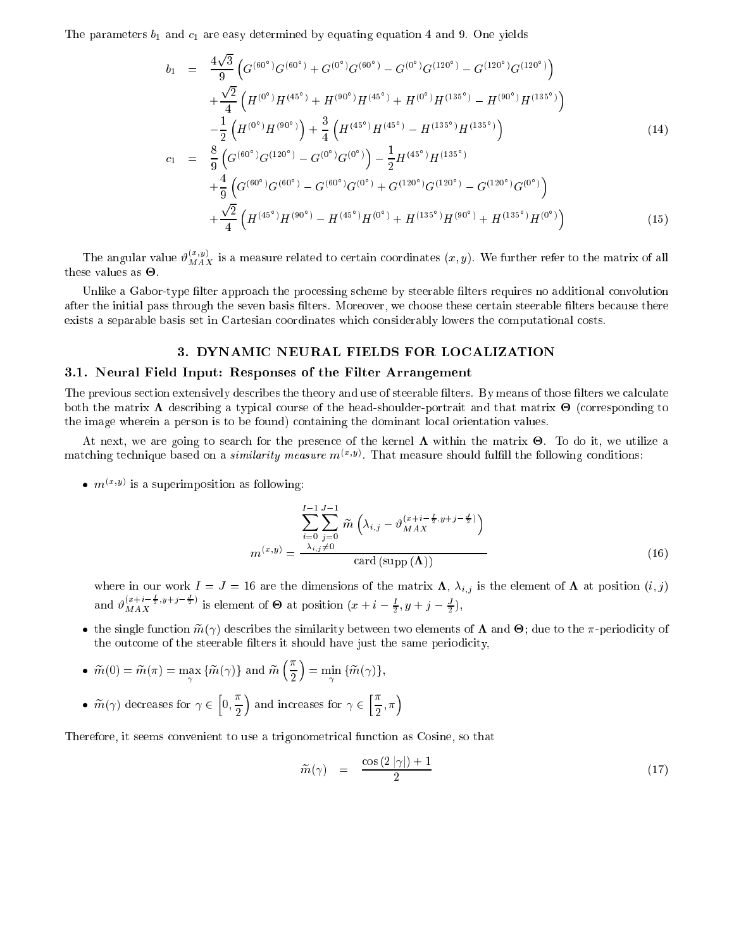The parameters  $b_1$  and  $c_1$  are easy determined by equating equation 4 and 9. One yields

$$
b_{1} = \frac{4\sqrt{3}}{9} \left( G^{(60^{\circ})} G^{(60^{\circ})} + G^{(0^{\circ})} G^{(60^{\circ})} - G^{(0^{\circ})} G^{(120^{\circ})} - G^{(120^{\circ})} G^{(120^{\circ})} \right) + \frac{\sqrt{2}}{4} \left( H^{(0^{\circ})} H^{(45^{\circ})} + H^{(90^{\circ})} H^{(45^{\circ})} + H^{(0^{\circ})} H^{(135^{\circ})} - H^{(90^{\circ})} H^{(135^{\circ})} \right) - \frac{1}{2} \left( H^{(0^{\circ})} H^{(90^{\circ})} \right) + \frac{3}{4} \left( H^{(45^{\circ})} H^{(45^{\circ})} - H^{(135^{\circ})} H^{(135^{\circ})} \right) c_{1} = \frac{8}{9} \left( G^{(60^{\circ})} G^{(120^{\circ})} - G^{(0^{\circ})} G^{(0^{\circ})} \right) - \frac{1}{2} H^{(45^{\circ})} H^{(135^{\circ})} + \frac{4}{9} \left( G^{(60^{\circ})} G^{(60^{\circ})} - G^{(60^{\circ})} G^{(0^{\circ})} + G^{(120^{\circ})} G^{(120^{\circ})} - G^{(120^{\circ})} G^{(0^{\circ})} \right) + \frac{\sqrt{2}}{4} \left( H^{(45^{\circ})} H^{(90^{\circ})} - H^{(45^{\circ})} H^{(0^{\circ})} + H^{(135^{\circ})} H^{(90^{\circ})} + H^{(135^{\circ})} H^{(0^{\circ})} \right)
$$
(15)

The angular value  $\vartheta^{(x,y)}_{MAX}$  is a measure related to certain coordinates  $(x,y)$ . We further refer to the matrix of all

Unlike a Gabor-type filter approach the processing scheme by steerable filters requires no additional convolution after the initial pass through the seven basis filters. Moreover, we choose these certain steerable filters because there exists a separable basis set in Cartesian coordinates which considerably lowers the computational costs.

### 3. DYNAMIC NEURAL FIELDS FOR LOCALIZATION

#### 3.1. Neural Field Input: Responses of the Filter Arrangement

The previous section extensively describes the theory and use of steerable filters. By means of those filters we calculate both the matrix describing a typical course of the head-shoulder-portrait and that matrix - (corresponding to the image wherein a person is to be found) containing the dominant local orientation values.

 $A$  are going to search for the presence of the presence of the matrix  $\mathbf{A}$ matching technique based on a *similarity measure m*<sup>(x,y)</sup>. That measure should fulfill the following conditions:

 $\bullet$   $m^{(x,y)}$  is a superimposition as following:

$$
m^{(x,y)} = \frac{\sum_{i=0}^{I-1} \sum_{j=0}^{J-1} \tilde{m} \left( \lambda_{i,j} - \vartheta_{MAX}^{(x+i-\frac{I}{2}, y+j-\frac{J}{2})} \right)}{\operatorname{card} (\operatorname{supp} (\Lambda))}
$$
(16)

where in our work  $I = J = 16$  are the dimensions of the matrix  $\Lambda$ ,  $\lambda_{i,j}$  is the element of  $\Lambda$  at position  $(i, j)$ and  $\vartheta_{MAX}^{(x+i-\frac{1}{2},y+j-\frac{y}{2})}$  is element of  $\Theta$  at position  $(x+i-\frac{I}{2},y+j-\frac{J}{2}),$ 

- $\bullet$  the single function  $m(\gamma)$  describes the similarity between two elements of  $\Lambda$  and  $\Theta;$  due to the  $\pi$ -periodicity of the outcome of the steerable filters it should have just the same periodicity,
- $\widetilde{m}(0) = \widetilde{m}(\pi) = \max_{\gamma} \{ \widetilde{m}(\gamma) \}$  and  $\widetilde{m}(\frac{\pi}{2})$  $\sim$  $=\min_{\gamma}\{m(\gamma)\},\$
- $\widetilde{m}(\gamma)$  decreases for  $\gamma \in$  $\mathsf{v},$  $\left(\frac{\pi}{2}\right)$  and increases for  $\gamma \in \left[\frac{\pi}{2}, \pi\right)$

Therefore, it seems convenient to use a trigonometrical function as Cosine, so that

$$
\widetilde{m}(\gamma) = \frac{\cos(2|\gamma|) + 1}{2} \tag{17}
$$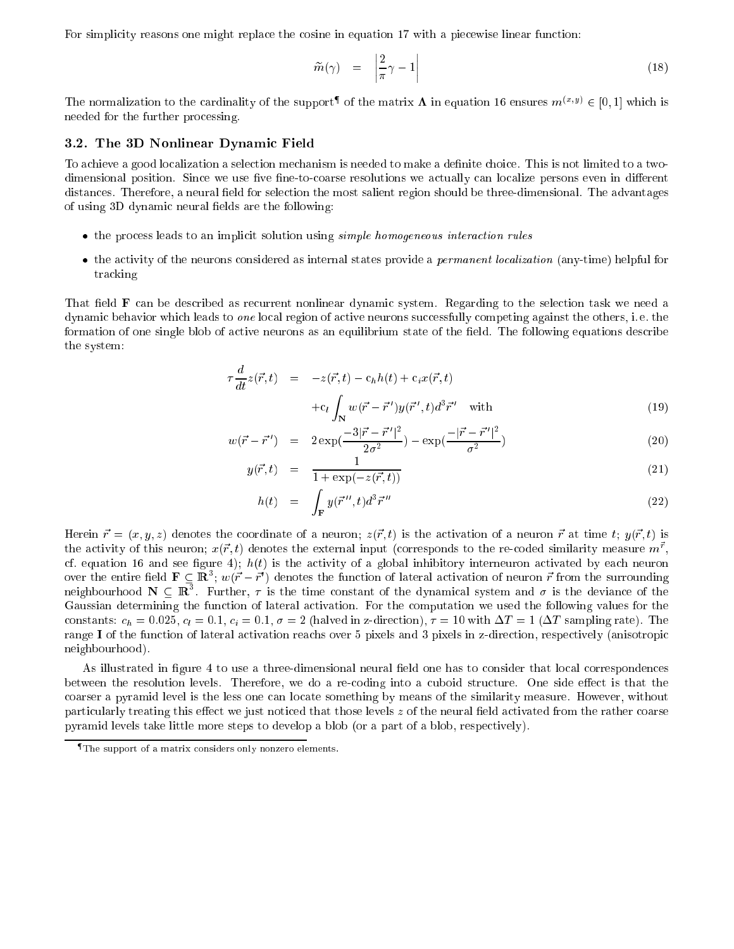For simplicity reasons one might replace the cosine in equation 17 with a piecewise linear function:

$$
\widetilde{m}(\gamma) = \left| \frac{2}{\pi} \gamma - 1 \right| \tag{18}
$$

The normalization to the cardinality of the support<sup>†</sup> of the matrix  $\Lambda$  in equation 16 ensures  $m^{(x,y)} \in [0,1]$  which is needed for the further processing.

#### 3.2. The 3D Nonlinear Dynamic Field

To achieve a good localization a selection mechanism is needed to make a definite choice. This is not limited to a twodimensional position. Since we use five fine-to-coarse resolutions we actually can localize persons even in different distances. Therefore, a neural field for selection the most salient region should be three-dimensional. The advantages of using 3D dynamic neural fields are the following:

- the process leads to an implicit solution using simple homogeneous interaction rules
- the activity of the neurons considered as internal states provide a permanent localization (any-time) helpful for tracking

That field F can be described as recurrent nonlinear dynamic system. Regarding to the selection task we need a dynamic behavior which leads to one local region of active neurons successfully competing against the others, i. e. the formation of one single blob of active neurons as an equilibrium state of the field. The following equations describe the system:

$$
\tau \frac{d}{dt} z(\vec{r}, t) = -z(\vec{r}, t) - c_h h(t) + c_i x(\vec{r}, t) \n+ c_l \int_{\mathbf{N}} w(\vec{r} - \vec{r}') y(\vec{r}', t) d^3 \vec{r}' \quad \text{with}
$$
\n(19)

$$
w(\vec{r} - \vec{r}') = 2 \exp\left(\frac{-3|\vec{r} - \vec{r}'|^2}{2\sigma^2}\right) - \exp\left(\frac{-|\vec{r} - \vec{r}'|^2}{\sigma^2}\right) \tag{20}
$$

$$
y(\vec{r},t) = \frac{1}{1 + \exp(-z(\vec{r},t))}
$$
\n(21)

$$
h(t) = \int_{\mathbf{F}} y(\vec{r}^{\prime\prime}, t) d^3 \vec{r}^{\prime\prime} \tag{22}
$$

Herein  $\vec{r} = (x, y, z)$  denotes the coordinate of a neuron;  $z(\vec{r}, t)$  is the activation of a neuron  $\vec{r}$  at time t;  $y(\vec{r}, t)$  is the activity of this neuron;  $x(\vec{r},t)$  denotes the external input (corresponds to the re-coded similarity measure  $m^{\vec{r}}$ , cf. equation 16 and see figure 4);  $h(t)$  is the activity of a global inhibitory interneuron activated by each neuron over the entire field  $\mathbf{F} \subseteq \mathbb{R}^3$ ;  $w(\vec{r} - \vec{r}')$  denotes the function of lateral activation of neuron  $\vec{r}$  from the surrounding neighbourhood  $\mathbf{N} \subseteq \mathbf{R}^*$ . Further,  $\tau$  is the time constant of the dynamical system and  $\sigma$  is the deviance of the Gaussian determining the function of lateral activation. For the computation we used the following values for the constants:  $c_h = 0.025$ ,  $c_l = 0.1$ ,  $c_i = 0.1$ ,  $\sigma = 2$  (halved in z-direction),  $\tau = 10$  with  $\Delta T = 1$  ( $\Delta T$  sampling rate). The range <sup>I</sup> of the function of lateral activation reachs over <sup>5</sup> pixels and <sup>3</sup> pixels in z-direction, respectively (anisotropic neighbourhood).

As illustrated in figure 4 to use a three-dimensional neural field one has to consider that local correspondences between the resolution levels. Therefore, we do a re-coding into a cuboid structure. One side effect is that the coarser a pyramid level is the less one can locate something by means of the similarity measure. However, without particularly treating this effect we just noticed that those levels  $z$  of the neural field activated from the rather coarse pyramid levels take little more steps to develop a blob (or a part of a blob, respectively).

The support of a matrix considers only nonzero elements.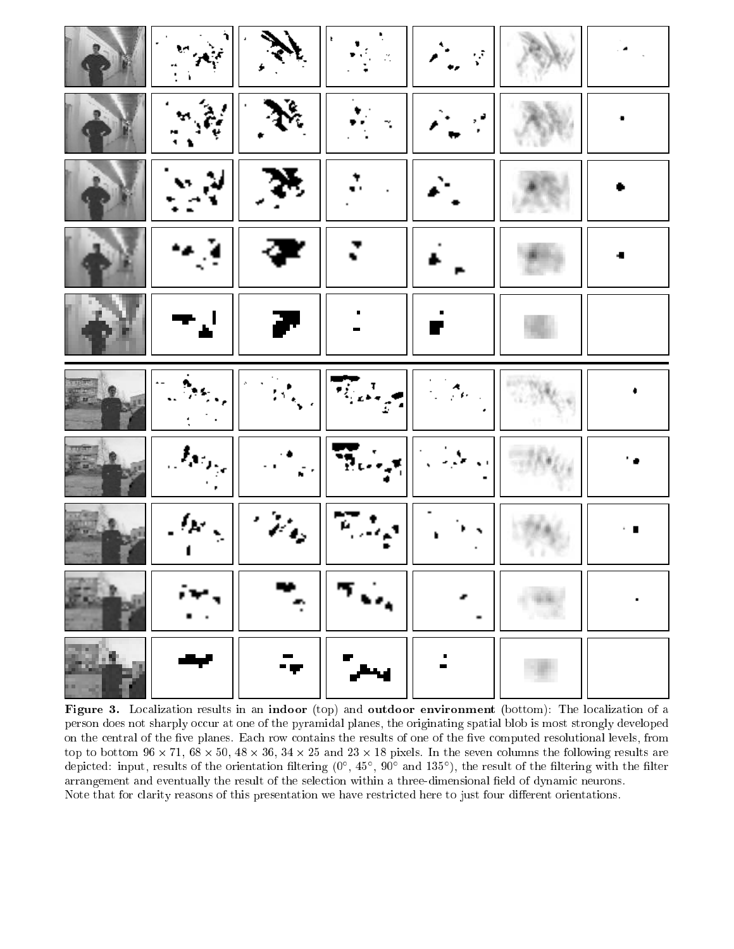

Figure 3. Localization results in an indoor (top) and outdoor environment (bottom): The localization of a person does not sharply occur at one of the pyramidal planes, the originating spatial blob is most strongly developed on the central of the five planes. Each row contains the results of one of the five computed resolutional levels, from top to bottom <sup>96</sup> - 71, <sup>68</sup> - 50, <sup>48</sup> - 36, <sup>34</sup> - <sup>25</sup> and <sup>23</sup> - <sup>18</sup> pixels. In the seven columns the following results are depicted: input, results of the orientation nitering (0), 45), 90 and 155), the result of the nitering with the niter arrangement and eventually the result of the selection within a three-dimensional field of dynamic neurons. Note that for clarity reasons of this presentation we have restricted here to just four different orientations.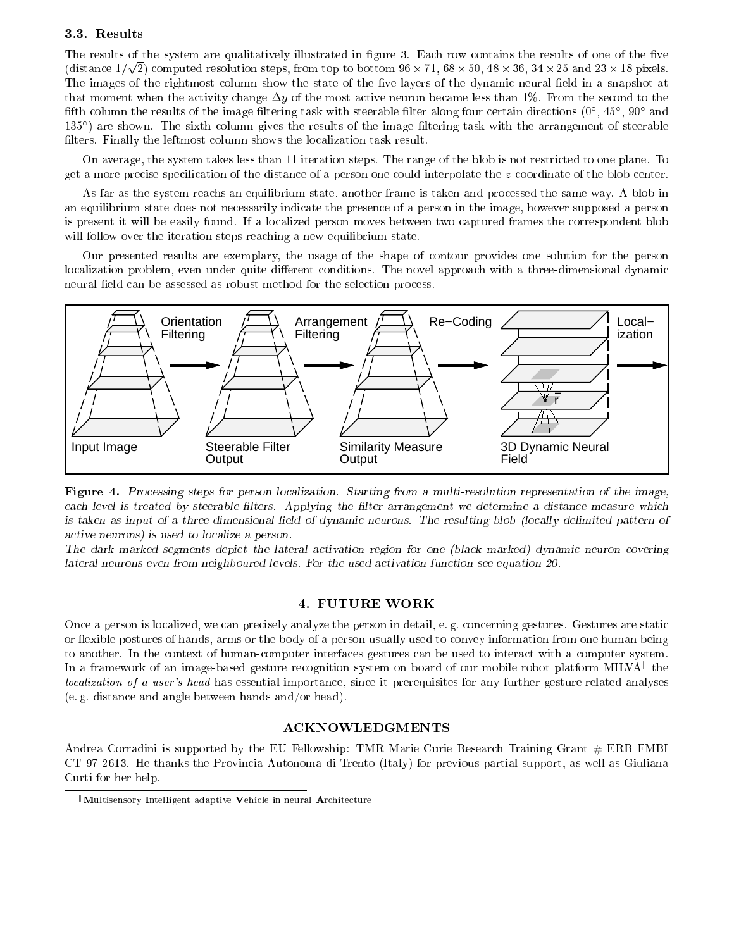### 3.3. Results

The results of the system are qualitatively illustrated in figure 3. Each row contains the results of one of the five (distance  $1/\sqrt{2}$ 2) computed resolution steps, from top to bottom <sup>96</sup> - 71, <sup>68</sup> - 50, <sup>48</sup> - 36, <sup>34</sup> - <sup>25</sup> and <sup>23</sup> - <sup>18</sup> pixels. The images of the rightmost column show the state of the five layers of the dynamic neural field in a snapshot at that moment when the activity change  $\Delta y$  of the most active neuron became less than 1%. From the second to the inth column the results of the image intering task with steerable litter along four certain directions (0 , 45 , 90 -and 135 ) are shown. The sixth column gives the results of the image ltering task with the arrangement of steerable filters. Finally the leftmost column shows the localization task result.

On average, the system takes less than <sup>11</sup> iteration steps. The range of the blob is not restricted to one plane. To get a more precise specification of the distance of a person one could interpolate the z-coordinate of the blob center.

As far as the system reachs an equilibrium state, another frame is taken and processed the same way. A blob in an equilibrium state does not necessarily indicate the presence of a person in the image, however supposed a person is present it will be easily found. If a localized person moves between two captured frames the correspondent blob will follow over the iteration steps reaching a new equilibrium state.

Our presented results are exemplary, the usage of the shape of contour provides one solution for the person localization problem, even under quite different conditions. The novel approach with a three-dimensional dynamic neural field can be assessed as robust method for the selection process.



Figure 4. Processing steps for person localization. Starting from a multi-resolution representation of the image, each level is treated by steerable filters. Applying the filter arrangement we determine a distance measure which is taken as input of a three-dimensional field of dynamic neurons. The resulting blob (locally delimited pattern of active neurons) is used to localize a person.

The dark marked segments depict the lateral activation region for one (black marked) dynamic neuron covering lateral neurons even from neighboured levels. For the used activation function see equation 20.

#### 4. FUTURE WORK

Once a person is localized, we can precisely analyze the person in detail, e. g. concerning gestures. Gestures are static or flexible postures of hands, arms or the body of a person usually used to convey information from one human being to another. In the context of human-computer interfaces gestures can be used to interact with a computer system. In a framework of an image-based gesture recognition system on board of our mobile robot platform MILVA<sup>k</sup> the localization of a user's head has essential importance, since it prerequisites for any further gesture-related analyses (e. g. distance and angle between hands and/or head).

# ACKNOWLEDGMENTS

Andrea Corradini is supported by the EU Fellowship: TMR Marie Curie Research Training Grant  $#$  ERB FMBI CT 97 2613. He thanks the Provincia Autonoma di Trento (Italy) for previous partial support, as well as Giuliana Curti for her help.

 $\mathbb{I}$  Multisensory Intelligent adaptive Vehicle in neural Architecture